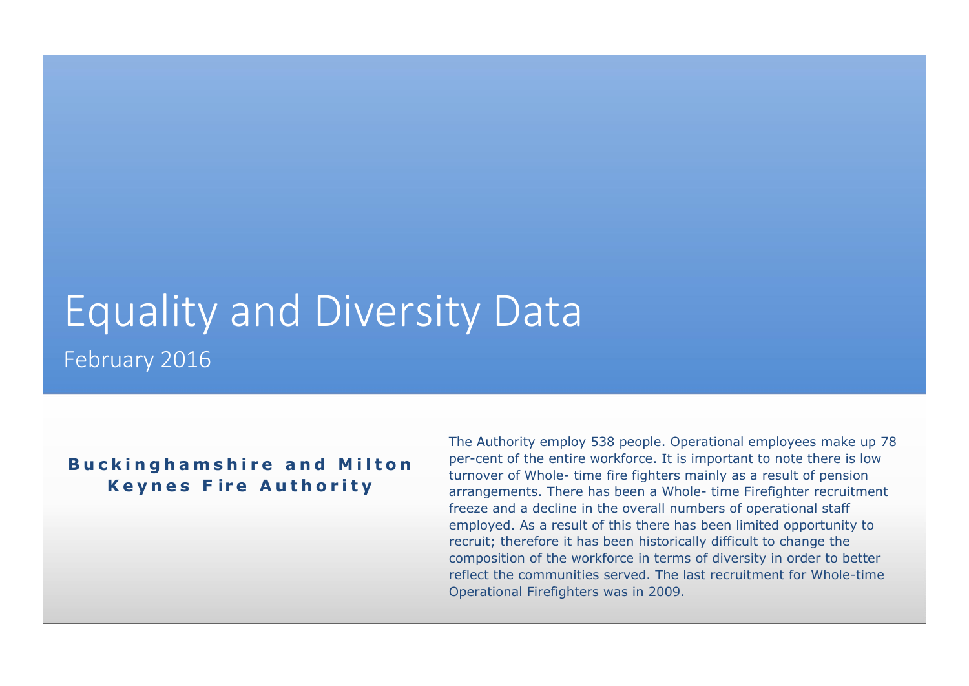# Equality and Diversity Data February 2016

### **Buckinghamshire and Milton K e y n e s F ir e A u t h o r i t y**

The Authority employ 538 people. Operational employees make up 78 per-cent of the entire workforce. It is important to note there is low turnover of Whole- time fire fighters mainly as a result of pension arrangements. There has been a Whole- time Firefighter recruitment freeze and a decline in the overall numbers of operational staff employed. As a result of this there has been limited opportunity to recruit; therefore it has been historically difficult to change the composition of the workforce in terms of diversity in order to better reflect the communities served. The last recruitment for Whole-time Operational Firefighters was in 2009.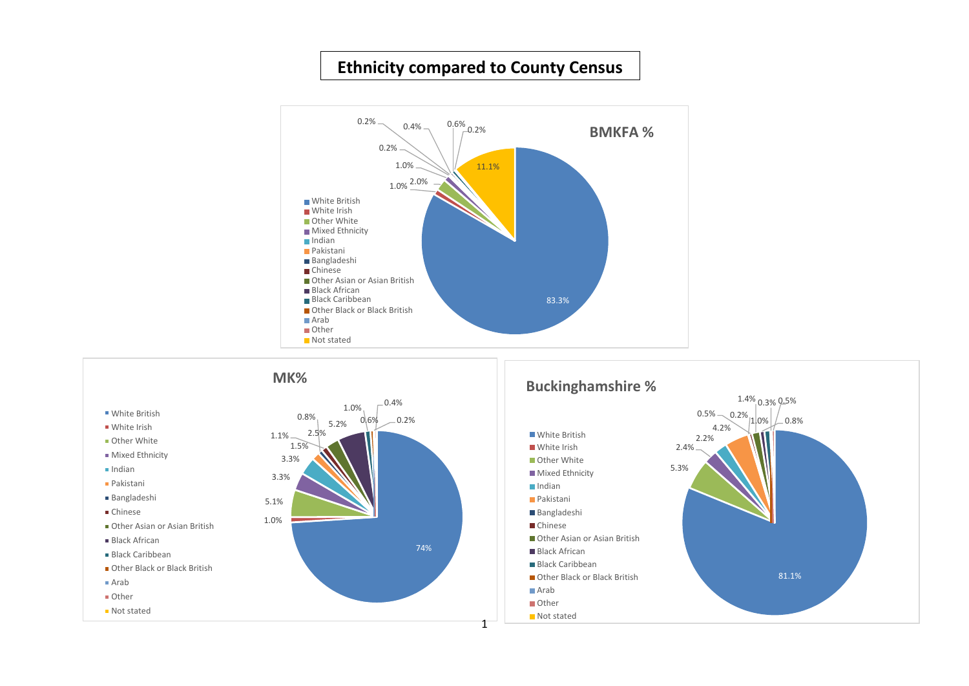# **Ethnicity compared to County Census**



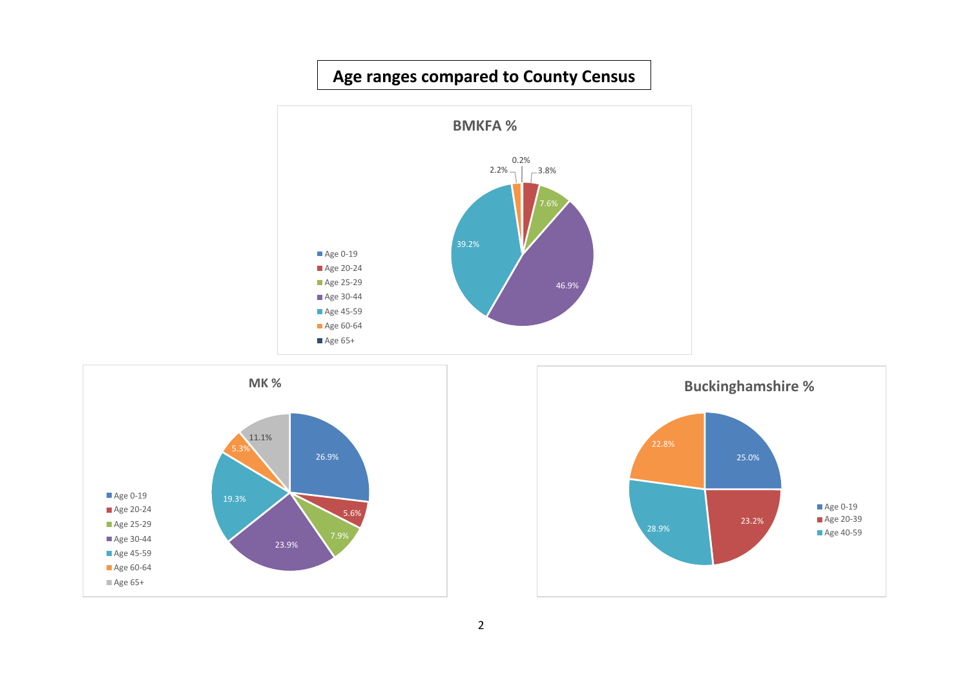# **Age ranges compared to County Census**





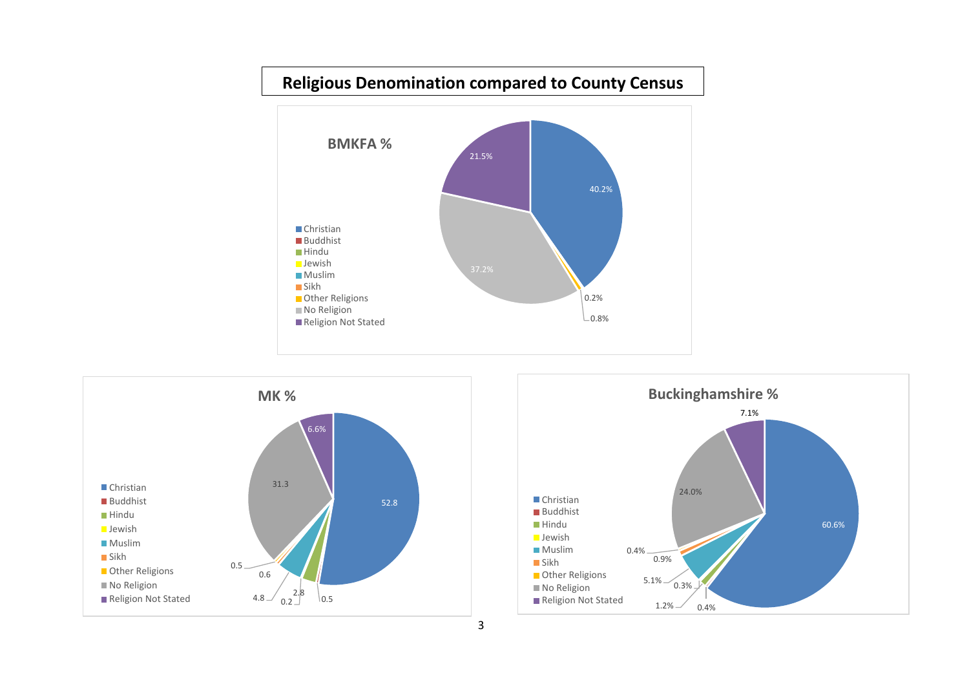# **Religious Denomination compared to County Census**





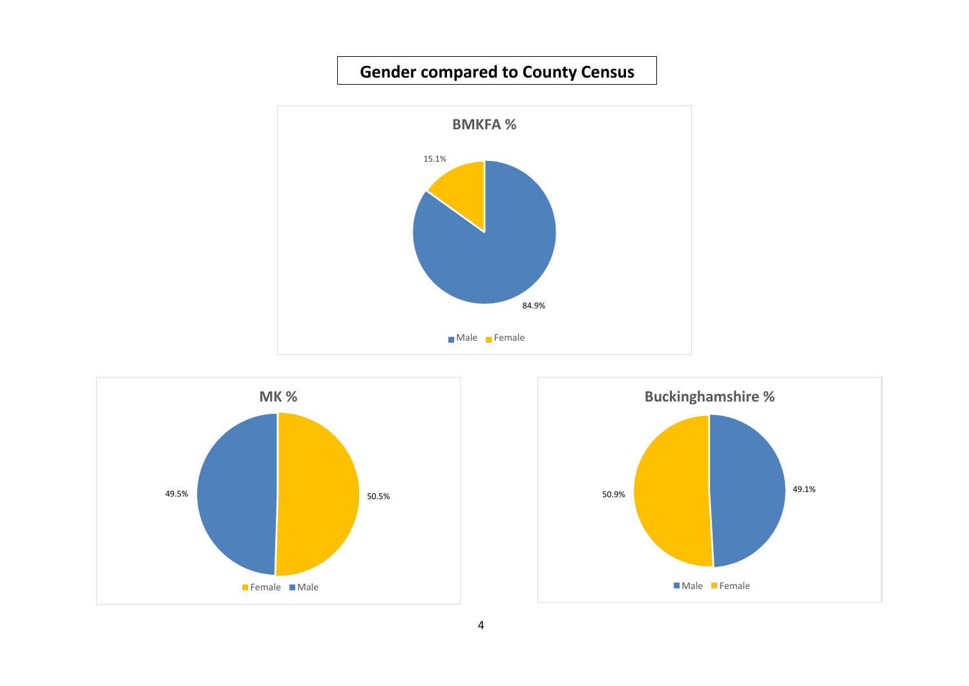# **Gender compared to County Census**





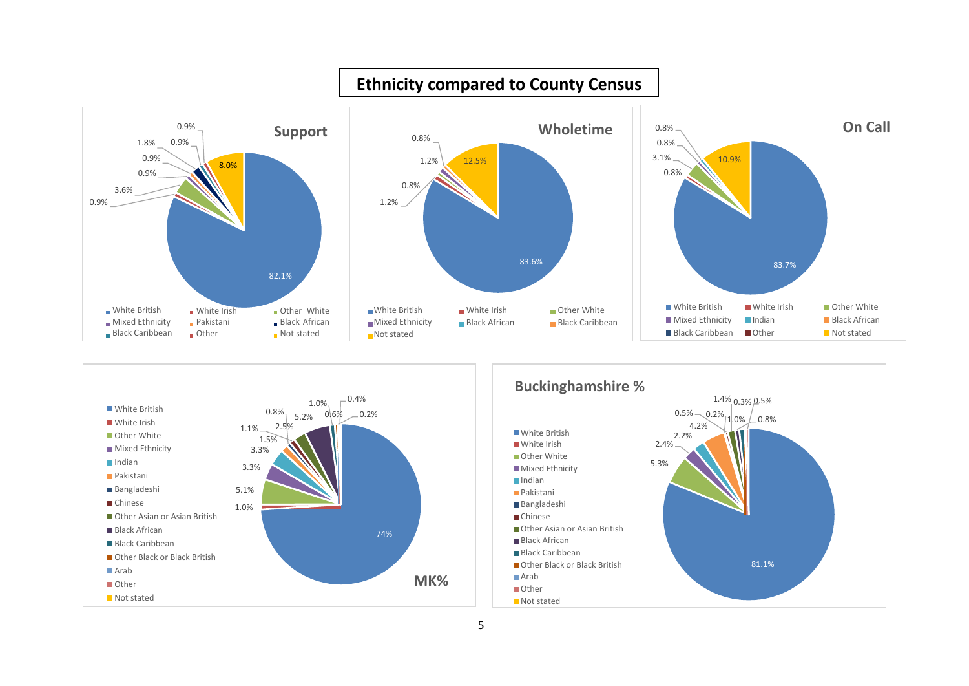

#### **Ethnicity compared to County Census**

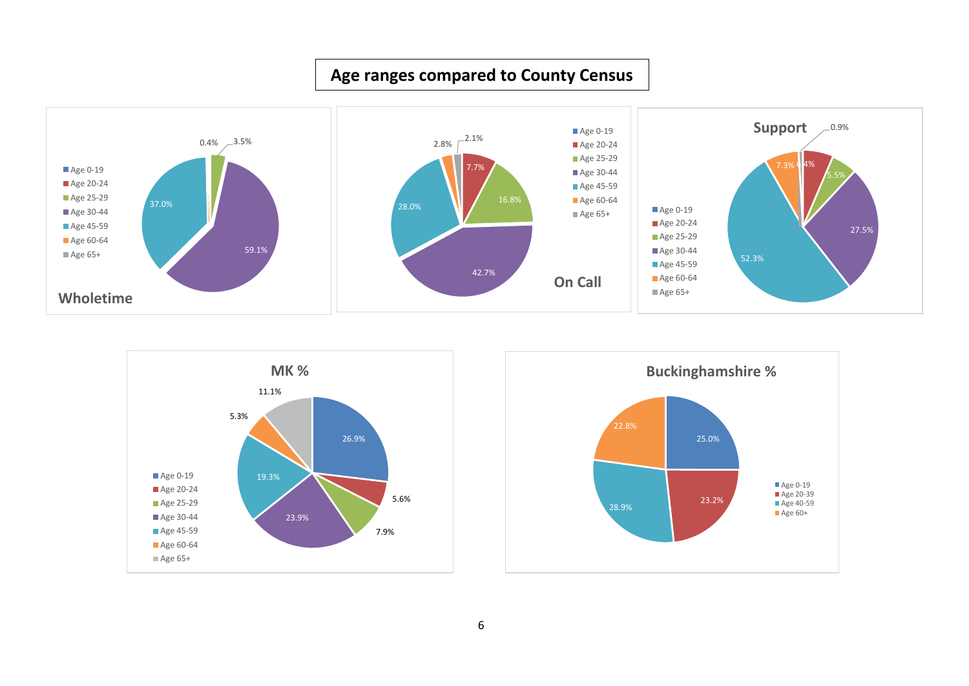# **Age ranges compared to County Census**





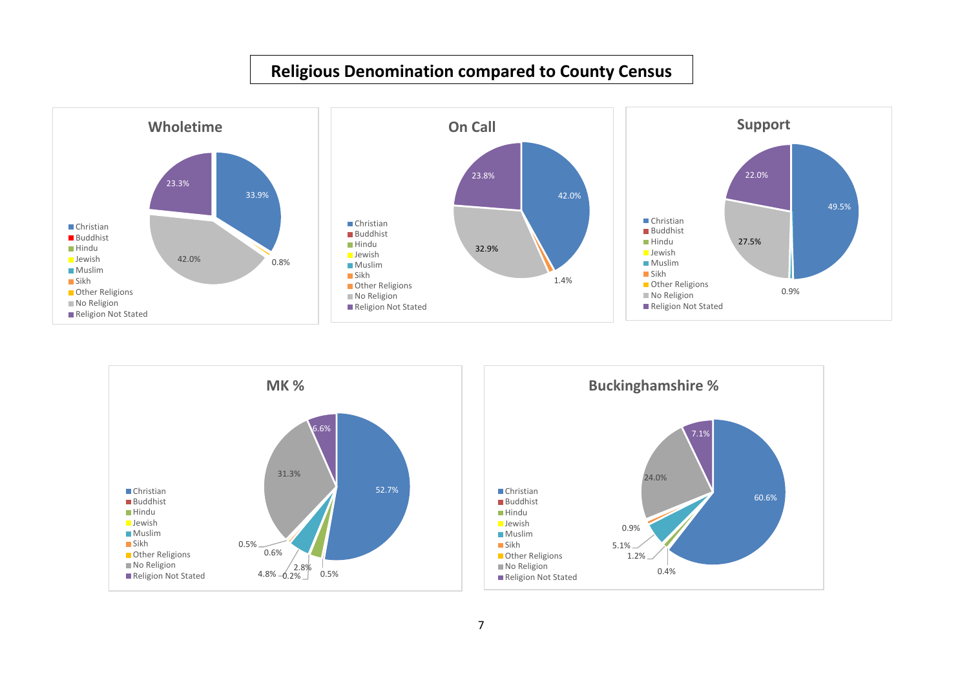# **Religious Denomination compared to County Census**



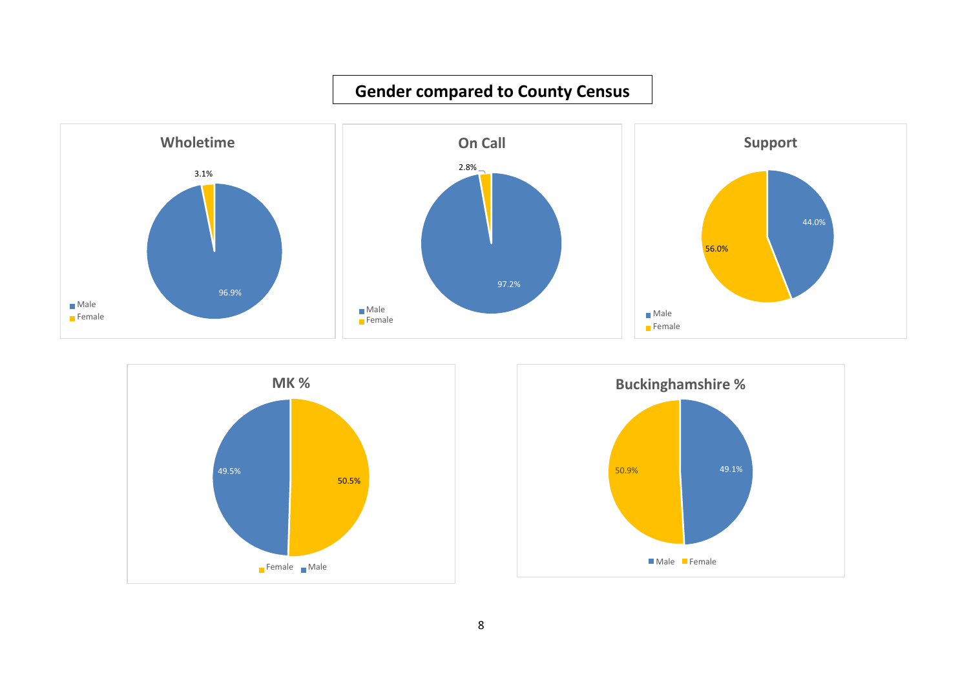





**Gender compared to County Census**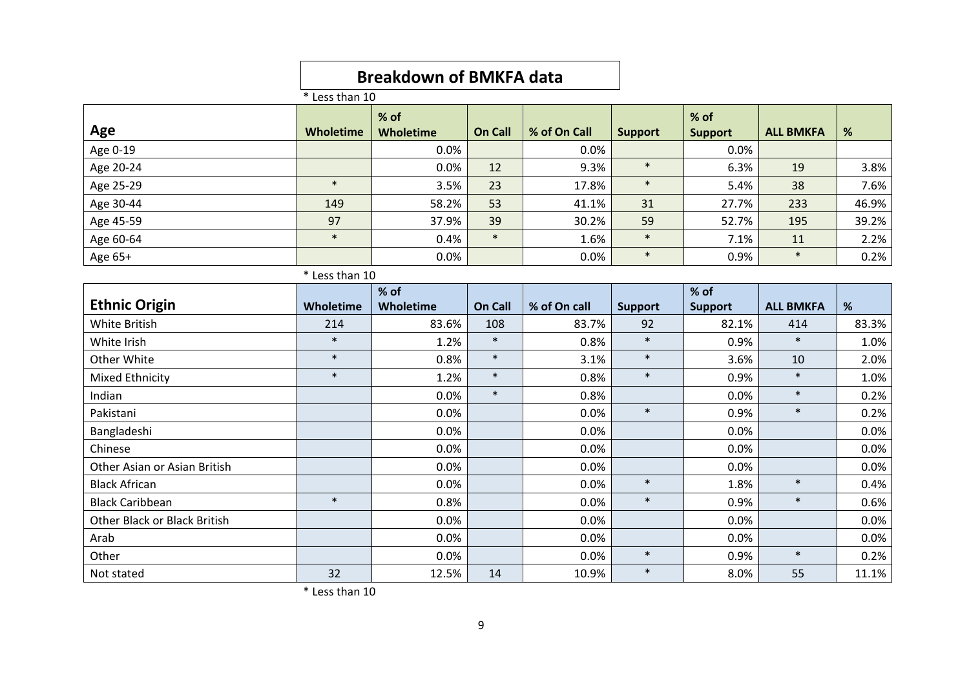# **Breakdown of BMKFA data**

 $\overline{\text{*}$  Less than 10

|                              |           | % of             |                |              |                | % of           |                  |       |  |
|------------------------------|-----------|------------------|----------------|--------------|----------------|----------------|------------------|-------|--|
| Age                          | Wholetime | <b>Wholetime</b> | <b>On Call</b> | % of On Call | <b>Support</b> | <b>Support</b> | <b>ALL BMKFA</b> | %     |  |
| Age 0-19                     |           | 0.0%             |                | 0.0%         |                | 0.0%           |                  |       |  |
| Age 20-24                    |           | 0.0%             | 12             | 9.3%         | $\ast$         | 6.3%           | 19               | 3.8%  |  |
| Age 25-29                    | $\ast$    | 3.5%             | 23             | 17.8%        | $\ast$         | 5.4%           | 38               | 7.6%  |  |
| Age 30-44                    | 149       | 58.2%            | 53             | 41.1%        | 31             | 27.7%          | 233              | 46.9% |  |
| Age 45-59                    | 97        | 37.9%            | 39             | 30.2%        | 59             | 52.7%          | 195              | 39.2% |  |
| Age 60-64                    | $\ast$    | 0.4%             | $\ast$         | 1.6%         | $\ast$         | 7.1%           | 11               | 2.2%  |  |
| Age 65+                      |           | 0.0%             |                | 0.0%         | $\ast$         | 0.9%           | $\ast$           | 0.2%  |  |
| * Less than 10               |           |                  |                |              |                |                |                  |       |  |
|                              |           | % of             |                |              |                | $%$ of         |                  |       |  |
| <b>Ethnic Origin</b>         | Wholetime | Wholetime        | On Call        | % of On call | <b>Support</b> | <b>Support</b> | <b>ALL BMKFA</b> | %     |  |
| <b>White British</b>         | 214       | 83.6%            | 108            | 83.7%        | 92             | 82.1%          | 414              | 83.3% |  |
| White Irish                  | $\ast$    | 1.2%             | $\ast$         | 0.8%         | $\ast$         | 0.9%           | $\ast$           | 1.0%  |  |
| Other White                  | $\ast$    | 0.8%             | $\ast$         | 3.1%         | $\ast$         | 3.6%           | 10               | 2.0%  |  |
| Mixed Ethnicity              | $\ast$    | 1.2%             | $\ast$         | 0.8%         | $\ast$         | 0.9%           | $\ast$           | 1.0%  |  |
| Indian                       |           | 0.0%             | $\ast$         | 0.8%         |                | 0.0%           | $\ast$           | 0.2%  |  |
| Pakistani                    |           | 0.0%             |                | 0.0%         | $\ast$         | 0.9%           | $\ast$           | 0.2%  |  |
| Bangladeshi                  |           | 0.0%             |                | 0.0%         |                | 0.0%           |                  | 0.0%  |  |
| Chinese                      |           | 0.0%             |                | 0.0%         |                | 0.0%           |                  | 0.0%  |  |
| Other Asian or Asian British |           | 0.0%             |                | 0.0%         |                | 0.0%           |                  | 0.0%  |  |
| <b>Black African</b>         |           | 0.0%             |                | 0.0%         | $\ast$         | 1.8%           | $\ast$           | 0.4%  |  |
| <b>Black Caribbean</b>       | $\ast$    | 0.8%             |                | 0.0%         | $\ast$         | 0.9%           | $\ast$           | 0.6%  |  |
| Other Black or Black British |           | 0.0%             |                | 0.0%         |                | 0.0%           |                  | 0.0%  |  |
| Arab                         |           | 0.0%             |                | 0.0%         |                | 0.0%           |                  | 0.0%  |  |
| Other                        |           | 0.0%             |                | 0.0%         | $\ast$         | 0.9%           | $\ast$           | 0.2%  |  |
| Not stated                   | 32        | 12.5%            | 14             | 10.9%        | $\ast$         | 8.0%           | 55               | 11.1% |  |

\* Less than 10